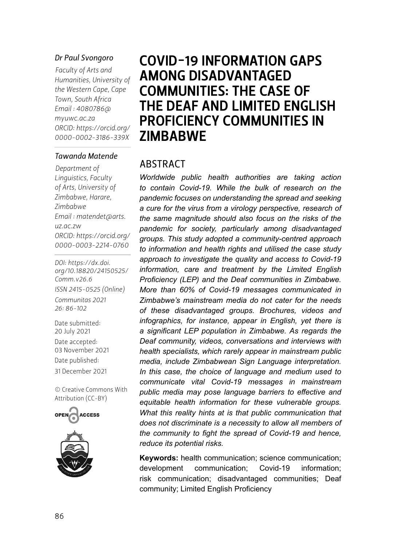#### *Dr Paul Svongoro*

*Faculty of Arts and Humanities, University of the Western Cape, Cape Town, South Africa Email : [4080786@](mailto:4080786@myuwc.ac.za) [myuwc.ac.za](mailto:4080786@myuwc.ac.za) ORCID: [https://orcid.org/](https://orcid.org/0000-0002-3186-339X) 0000-0002-3186-339X*

#### *Tawanda Matende*

*Department of Linguistics, Faculty of Arts, University of Zimbabwe, Harare, Zimbabwe Email : [matendet@arts.](mailto:matendet@arts.uz.ac.zw) [uz.ac.zw](mailto:matendet@arts.uz.ac.zw) ORCID: [https://orcid.org/](https://orcid.org/0000-0003-2214-0760) 0000-0003-2214-0760*

*DOI: [https://dx.doi.](https://dx.doi.org/10.18820/24150525/Comm.v26.6) [org/10.18820/24150525/](https://dx.doi.org/10.18820/24150525/Comm.v26.6) [Comm.v](https://dx.doi.org/10.18820/24150525/Comm.v26.6)26.6 ISSN 2415-0525 (Online) Communitas 2021* 

*26: 86-102* Date submitted:

20 July 2021 Date accepted: 03 November 2021 Date published: 31 December 2021

[© Creative Commons With](https://creativecommons.org/licenses/by/2.0/za/)  [Attribution \(CC-BY\)](https://creativecommons.org/licenses/by/2.0/za/)





# COVID-19 INFORMATION GAPS AMONG DISADVANTAGED COMMUNITIES: THE CASE OF THE DEAF AND LIMITED ENGLISH PROFICIENCY COMMUNITIES IN **ZIMBABWE**

#### ABSTRACT

*Worldwide public health authorities are taking action to contain Covid-19. While the bulk of research on the pandemic focuses on understanding the spread and seeking a cure for the virus from a virology perspective, research of the same magnitude should also focus on the risks of the pandemic for society, particularly among disadvantaged groups. This study adopted a community-centred approach to information and health rights and utilised the case study approach to investigate the quality and access to Covid-19 information, care and treatment by the Limited English Proficiency (LEP) and the Deaf communities in Zimbabwe. More than 60% of Covid-19 messages communicated in Zimbabwe's mainstream media do not cater for the needs of these disadvantaged groups. Brochures, videos and infographics, for instance, appear in English, yet there is a significant LEP population in Zimbabwe. As regards the Deaf community, videos, conversations and interviews with health specialists, which rarely appear in mainstream public media, include Zimbabwean Sign Language interpretation. In this case, the choice of language and medium used to communicate vital Covid-19 messages in mainstream public media may pose language barriers to effective and equitable health information for these vulnerable groups. What this reality hints at is that public communication that does not discriminate is a necessity to allow all members of the community to fight the spread of Covid-19 and hence, reduce its potential risks.* 

**Keywords:** health communication; science communication; development communication; Covid-19 information; risk communication; disadvantaged communities; Deaf community; Limited English Proficiency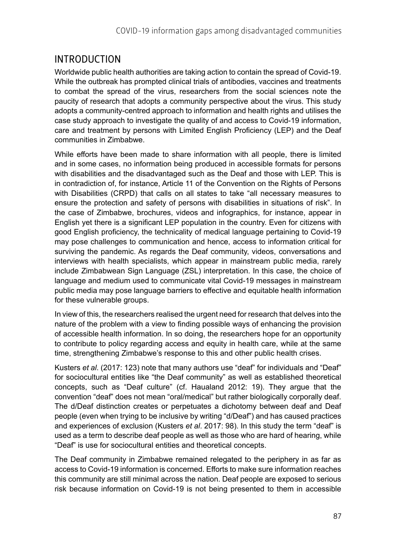# INTRODUCTION

Worldwide public health authorities are taking action to contain the spread of Covid-19. While the outbreak has prompted clinical trials of antibodies, vaccines and treatments to combat the spread of the virus, researchers from the social sciences note the paucity of research that adopts a community perspective about the virus. This study adopts a community-centred approach to information and health rights and utilises the case study approach to investigate the quality of and access to Covid-19 information, care and treatment by persons with Limited English Proficiency (LEP) and the Deaf communities in Zimbabwe.

While efforts have been made to share information with all people, there is limited and in some cases, no information being produced in accessible formats for persons with disabilities and the disadvantaged such as the Deaf and those with LEP. This is in contradiction of, for instance, Article 11 of the Convention on the Rights of Persons with Disabilities (CRPD) that calls on all states to take "all necessary measures to ensure the protection and safety of persons with disabilities in situations of risk". In the case of Zimbabwe, brochures, videos and infographics, for instance, appear in English yet there is a significant LEP population in the country. Even for citizens with good English proficiency, the technicality of medical language pertaining to Covid-19 may pose challenges to communication and hence, access to information critical for surviving the pandemic. As regards the Deaf community, videos, conversations and interviews with health specialists, which appear in mainstream public media, rarely include Zimbabwean Sign Language (ZSL) interpretation. In this case, the choice of language and medium used to communicate vital Covid-19 messages in mainstream public media may pose language barriers to effective and equitable health information for these vulnerable groups.

In view of this, the researchers realised the urgent need for research that delves into the nature of the problem with a view to finding possible ways of enhancing the provision of accessible health information. In so doing, the researchers hope for an opportunity to contribute to policy regarding access and equity in health care, while at the same time, strengthening Zimbabwe's response to this and other public health crises.

Kusters *et al*. (2017: 123) note that many authors use "deaf" for individuals and "Deaf" for sociocultural entities like "the Deaf community" as well as established theoretical concepts, such as "Deaf culture" (cf. Haualand 2012: 19). They argue that the convention "deaf" does not mean "oral/medical" but rather biologically corporally deaf. The d/Deaf distinction creates or perpetuates a dichotomy between deaf and Deaf people (even when trying to be inclusive by writing "d/Deaf") and has caused practices and experiences of exclusion (Kusters *et al*. 2017: 98). In this study the term "deaf" is used as a term to describe deaf people as well as those who are hard of hearing, while "Deaf" is use for sociocultural entities and theoretical concepts.

The Deaf community in Zimbabwe remained relegated to the periphery in as far as access to Covid-19 information is concerned. Efforts to make sure information reaches this community are still minimal across the nation. Deaf people are exposed to serious risk because information on Covid-19 is not being presented to them in accessible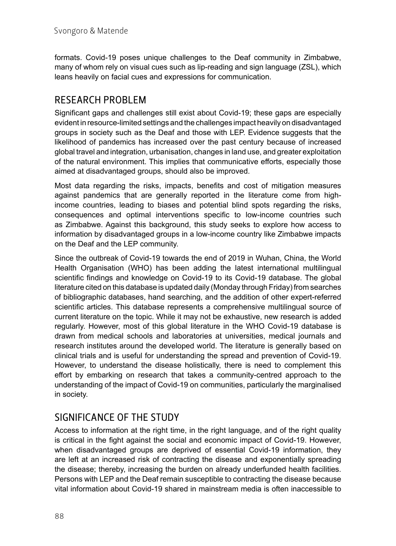formats. Covid-19 poses unique challenges to the Deaf community in Zimbabwe, many of whom rely on visual cues such as lip-reading and sign language (ZSL), which leans heavily on facial cues and expressions for communication.

# RESEARCH PROBLEM

Significant gaps and challenges still exist about Covid-19; these gaps are especially evident in resource-limited settings and the challenges impact heavily on disadvantaged groups in society such as the Deaf and those with LEP. Evidence suggests that the likelihood of pandemics has increased over the past century because of increased global travel and integration, urbanisation, changes in land use, and greater exploitation of the natural environment. This implies that communicative efforts, especially those aimed at disadvantaged groups, should also be improved.

Most data regarding the risks, impacts, benefits and cost of mitigation measures against pandemics that are generally reported in the literature come from highincome countries, leading to biases and potential blind spots regarding the risks, consequences and optimal interventions specific to low-income countries such as Zimbabwe. Against this background, this study seeks to explore how access to information by disadvantaged groups in a low-income country like Zimbabwe impacts on the Deaf and the LEP community.

Since the outbreak of Covid-19 towards the end of 2019 in Wuhan, China, the World Health Organisation (WHO) has been adding the latest international multilingual scientific findings and knowledge on Covid-19 to its Covid-19 database. The global literature cited on this database is updated daily (Monday through Friday) from searches of bibliographic databases, hand searching, and the addition of other expert-referred scientific articles. This database represents a comprehensive multilingual source of current literature on the topic. While it may not be exhaustive, new research is added regularly. However, most of this global literature in the WHO Covid-19 database is drawn from medical schools and laboratories at universities, medical journals and research institutes around the developed world. The literature is generally based on clinical trials and is useful for understanding the spread and prevention of Covid-19. However, to understand the disease holistically, there is need to complement this effort by embarking on research that takes a community-centred approach to the understanding of the impact of Covid-19 on communities, particularly the marginalised in society.

## SIGNIFICANCE OF THE STUDY

Access to information at the right time, in the right language, and of the right quality is critical in the fight against the social and economic impact of Covid-19. However, when disadvantaged groups are deprived of essential Covid-19 information, they are left at an increased risk of contracting the disease and exponentially spreading the disease; thereby, increasing the burden on already underfunded health facilities. Persons with LEP and the Deaf remain susceptible to contracting the disease because vital information about Covid-19 shared in mainstream media is often inaccessible to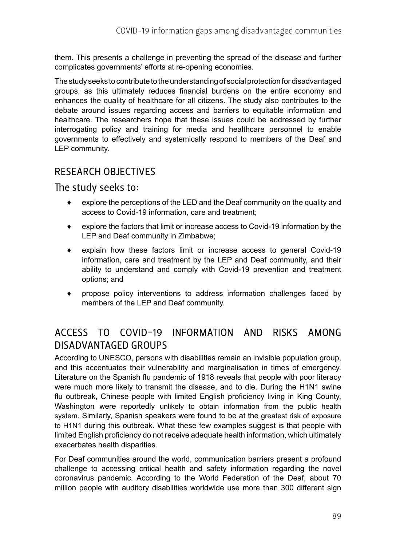them. This presents a challenge in preventing the spread of the disease and further complicates governments' efforts at re-opening economies.

The study seeks to contribute to the understanding of social protection for disadvantaged groups, as this ultimately reduces financial burdens on the entire economy and enhances the quality of healthcare for all citizens. The study also contributes to the debate around issues regarding access and barriers to equitable information and healthcare. The researchers hope that these issues could be addressed by further interrogating policy and training for media and healthcare personnel to enable governments to effectively and systemically respond to members of the Deaf and LEP community.

## RESEARCH OBJECTIVES

#### The study seeks to:

- ♦ explore the perceptions of the LED and the Deaf community on the quality and access to Covid-19 information, care and treatment;
- ♦ explore the factors that limit or increase access to Covid-19 information by the LEP and Deaf community in Zimbabwe;
- ♦ explain how these factors limit or increase access to general Covid-19 information, care and treatment by the LEP and Deaf community, and their ability to understand and comply with Covid-19 prevention and treatment options; and
- ♦ propose policy interventions to address information challenges faced by members of the LEP and Deaf community.

# ACCESS TO COVID-19 INFORMATION AND RISKS AMONG DISADVANTAGED GROUPS

According to UNESCO, persons with disabilities remain an invisible population group, and this accentuates their vulnerability and marginalisation in times of emergency. Literature on the Spanish flu pandemic of 1918 reveals that people with poor literacy were much more likely to transmit the disease, and to die. During the H1N1 swine flu outbreak, Chinese people with limited English proficiency living in King County, Washington were reportedly [unlikely to obtain information from the public health](https://www.wmpllc.org/ojs/index.php/ajdm/article/view/1963/0) [system.](https://www.wmpllc.org/ojs/index.php/ajdm/article/view/1963/0) Similarly, Spanish speakers were found to be at the [greatest risk of exposure](https://www.ncbi.nlm.nih.gov/pubmed/21164098) [to H1N1](https://www.ncbi.nlm.nih.gov/pubmed/21164098) during this outbreak. What these few examples suggest is that people with limited English proficiency do not receive adequate health information, which ultimately exacerbates health disparities.

For Deaf communities around the world, communication barriers present a profound challenge to accessing critical health and safety information regarding the novel coronavirus pandemic. According to the World Federation of the Deaf, about 70 million people with auditory disabilities worldwide use more than 300 different sign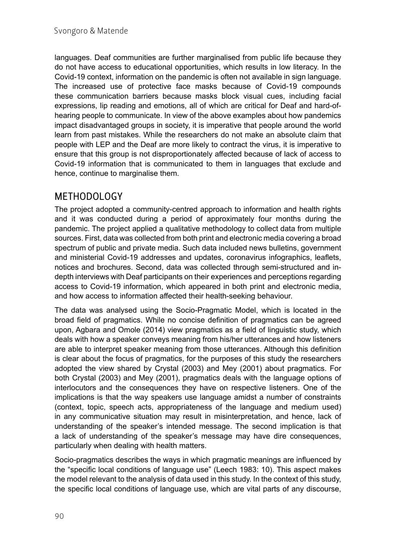languages. Deaf communities are further marginalised from public life because they do not have access to educational opportunities, which results in low literacy. In the Covid-19 context, information on the pandemic is often not available in sign language. The increased use of protective face masks because of Covid-19 compounds these communication barriers because masks block visual cues, including facial expressions, lip reading and emotions, all of which are critical for Deaf and hard-ofhearing people to communicate. In view of the above examples about how pandemics impact disadvantaged groups in society, it is imperative that people around the world learn from past mistakes. While the researchers do not make an absolute claim that people with LEP and the Deaf are more likely to contract the virus, it is imperative to ensure that this group is not disproportionately affected because of lack of access to Covid-19 information that is communicated to them in languages that exclude and hence, continue to marginalise them.

# METHODOLOGY

The project adopted a community-centred approach to information and health rights and it was conducted during a period of approximately four months during the pandemic. The project applied a qualitative methodology to collect data from multiple sources. First, data was collected from both print and electronic media covering a broad spectrum of public and private media. Such data included news bulletins, government and ministerial Covid-19 addresses and updates, coronavirus infographics, leaflets, notices and brochures. Second, data was collected through semi-structured and indepth interviews with Deaf participants on their experiences and perceptions regarding access to Covid-19 information, which appeared in both print and electronic media, and how access to information affected their health-seeking behaviour.

The data was analysed using the Socio-Pragmatic Model, which is located in the broad field of pragmatics. While no concise definition of pragmatics can be agreed upon, Agbara and Omole (2014) view pragmatics as a field of linguistic study, which deals with how a speaker conveys meaning from his/her utterances and how listeners are able to interpret speaker meaning from those utterances. Although this definition is clear about the focus of pragmatics, for the purposes of this study the researchers adopted the view shared by Crystal (2003) and Mey (2001) about pragmatics. For both Crystal (2003) and Mey (2001), pragmatics deals with the language options of interlocutors and the consequences they have on respective listeners. One of the implications is that the way speakers use language amidst a number of constraints (context, topic, speech acts, appropriateness of the language and medium used) in any communicative situation may result in misinterpretation, and hence, lack of understanding of the speaker's intended message. The second implication is that a lack of understanding of the speaker's message may have dire consequences, particularly when dealing with health matters.

Socio-pragmatics describes the ways in which pragmatic meanings are influenced by the "specific local conditions of language use" (Leech 1983: 10). This aspect makes the model relevant to the analysis of data used in this study. In the context of this study, the specific local conditions of language use, which are vital parts of any discourse,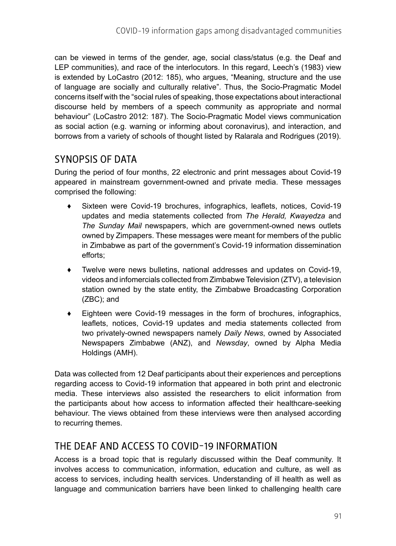can be viewed in terms of the gender, age, social class/status (e.g. the Deaf and LEP communities), and race of the interlocutors. In this regard, Leech's (1983) view is extended by LoCastro (2012: 185), who argues, "Meaning, structure and the use of language are socially and culturally relative". Thus, the Socio-Pragmatic Model concerns itself with the "social rules of speaking, those expectations about interactional discourse held by members of a speech community as appropriate and normal behaviour" (LoCastro 2012: 187). The Socio-Pragmatic Model views communication as social action (e.g. warning or informing about coronavirus), and interaction, and borrows from a variety of schools of thought listed by Ralarala and Rodrigues (2019).

# SYNOPSIS OF DATA

During the period of four months, 22 electronic and print messages about Covid-19 appeared in mainstream government-owned and private media. These messages comprised the following:

- Sixteen were Covid-19 brochures, infographics, leaflets, notices, Covid-19 updates and media statements collected from *The Herald, Kwayedza* and *The Sunday Mail* newspapers, which are government-owned news outlets owned by Zimpapers. These messages were meant for members of the public in Zimbabwe as part of the government's Covid-19 information dissemination efforts;
- ♦ Twelve were news bulletins, national addresses and updates on Covid-19, videos and infomercials collected from Zimbabwe Television (ZTV), a television station owned by the state entity, the Zimbabwe Broadcasting Corporation (ZBC); and
- ♦ Eighteen were Covid-19 messages in the form of brochures, infographics, leaflets, notices, Covid-19 updates and media statements collected from two privately-owned newspapers namely *Daily News*, owned by Associated Newspapers Zimbabwe (ANZ), and *Newsday*, owned by Alpha Media Holdings (AMH).

Data was collected from 12 Deaf participants about their experiences and perceptions regarding access to Covid-19 information that appeared in both print and electronic media. These interviews also assisted the researchers to elicit information from the participants about how access to information affected their healthcare-seeking behaviour. The views obtained from these interviews were then analysed according to recurring themes.

## THE DEAF AND ACCESS TO COVID-19 INFORMATION

Access is a broad topic that is regularly discussed within the Deaf community. It involves access to communication, information, education and culture, as well as access to services, including health services. Understanding of ill health as well as language and communication barriers have been linked to challenging health care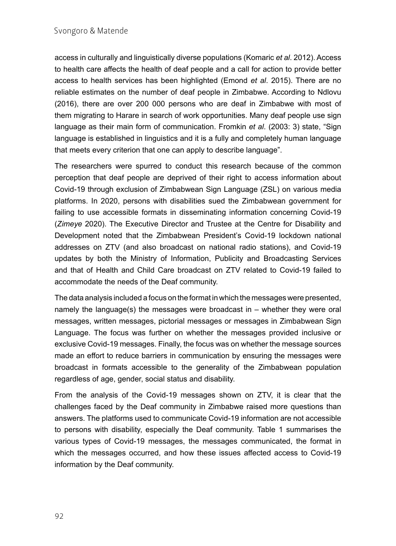access in culturally and linguistically diverse populations (Komaric *et al*. 2012). Access to health care affects the health of deaf people and a call for action to provide better access to health services has been highlighted (Emond *et al*. 2015). There are no reliable estimates on the number of deaf people in Zimbabwe. According to Ndlovu (2016), there are over 200 000 persons who are deaf in Zimbabwe with most of them migrating to Harare in search of work opportunities. Many deaf people use sign language as their main form of communication. Fromkin *et al*. (2003: 3) state, "Sign language is established in linguistics and it is a fully and completely human language that meets every criterion that one can apply to describe language".

The researchers were spurred to conduct this research because of the common perception that deaf people are deprived of their right to access information about Covid-19 through exclusion of Zimbabwean Sign Language (ZSL) on various media platforms. In 2020, persons with disabilities sued the Zimbabwean government for failing to use accessible formats in disseminating information concerning Covid-19 (*Zimeye* 2020). The Executive Director and Trustee at the Centre for Disability and Development noted that the Zimbabwean President's Covid-19 lockdown national addresses on ZTV (and also broadcast on national radio stations), and Covid-19 updates by both the Ministry of Information, Publicity and Broadcasting Services and that of Health and Child Care broadcast on ZTV related to Covid-19 failed to accommodate the needs of the Deaf community.

The data analysis included a focus on the format in which the messages were presented, namely the language(s) the messages were broadcast in – whether they were oral messages, written messages, pictorial messages or messages in Zimbabwean Sign Language. The focus was further on whether the messages provided inclusive or exclusive Covid-19 messages. Finally, the focus was on whether the message sources made an effort to reduce barriers in communication by ensuring the messages were broadcast in formats accessible to the generality of the Zimbabwean population regardless of age, gender, social status and disability.

From the analysis of the Covid-19 messages shown on ZTV, it is clear that the challenges faced by the Deaf community in Zimbabwe raised more questions than answers. The platforms used to communicate Covid-19 information are not accessible to persons with disability, especially the Deaf community. Table 1 summarises the various types of Covid-19 messages, the messages communicated, the format in which the messages occurred, and how these issues affected access to Covid-19 information by the Deaf community.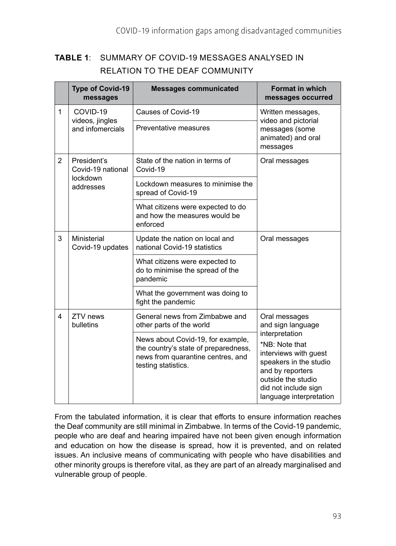#### **TABLE 1**: SUMMARY OF COVID-19 MESSAGES ANALYSED IN RELATION TO THE DEAF COMMUNITY

|                | <b>Type of Covid-19</b><br>messages                       | <b>Messages communicated</b>                                                                                                          | <b>Format in which</b><br>messages occurred                                                                                                                                                                            |
|----------------|-----------------------------------------------------------|---------------------------------------------------------------------------------------------------------------------------------------|------------------------------------------------------------------------------------------------------------------------------------------------------------------------------------------------------------------------|
| $\mathbf{1}$   | COVID-19<br>videos, jingles<br>and infomercials           | Causes of Covid-19                                                                                                                    | Written messages,<br>video and pictorial<br>messages (some<br>animated) and oral<br>messages                                                                                                                           |
|                |                                                           | Preventative measures                                                                                                                 |                                                                                                                                                                                                                        |
| $\overline{2}$ | President's<br>Covid-19 national<br>lockdown<br>addresses | State of the nation in terms of<br>Covid-19                                                                                           | Oral messages                                                                                                                                                                                                          |
|                |                                                           | Lockdown measures to minimise the<br>spread of Covid-19                                                                               |                                                                                                                                                                                                                        |
|                |                                                           | What citizens were expected to do<br>and how the measures would be<br>enforced                                                        |                                                                                                                                                                                                                        |
| 3              | Ministerial<br>Covid-19 updates                           | Update the nation on local and<br>national Covid-19 statistics                                                                        | Oral messages                                                                                                                                                                                                          |
|                |                                                           | What citizens were expected to<br>do to minimise the spread of the<br>pandemic                                                        |                                                                                                                                                                                                                        |
|                |                                                           | What the government was doing to<br>fight the pandemic                                                                                |                                                                                                                                                                                                                        |
| 4              | ZTV news<br>bulletins                                     | General news from Zimbabwe and<br>other parts of the world                                                                            | Oral messages<br>and sign language<br>interpretation<br>*NB: Note that<br>interviews with guest<br>speakers in the studio<br>and by reporters<br>outside the studio<br>did not include sign<br>language interpretation |
|                |                                                           | News about Covid-19, for example,<br>the country's state of preparedness,<br>news from quarantine centres, and<br>testing statistics. |                                                                                                                                                                                                                        |

From the tabulated information, it is clear that efforts to ensure information reaches the Deaf community are still minimal in Zimbabwe. In terms of the Covid-19 pandemic, people who are deaf and hearing impaired have not been given enough information and education on how the disease is spread, how it is prevented, and on related issues. An inclusive means of communicating with people who have disabilities and other minority groups is therefore vital, as they are part of an already marginalised and vulnerable group of people.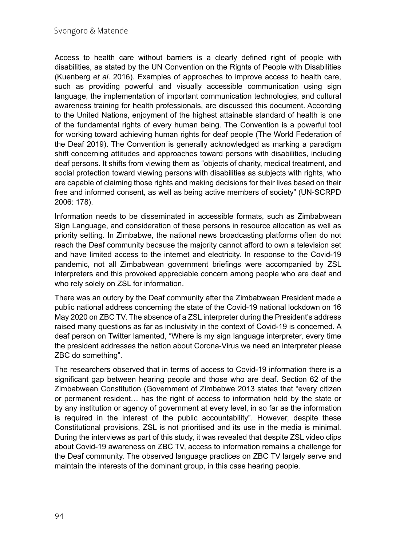Access to health care without barriers is a clearly defined right of people with disabilities, as stated by the UN Convention on the Rights of People with Disabilities (Kuenberg *et al*. 2016). Examples of approaches to improve access to health care, such as providing powerful and visually accessible communication using sign language, the implementation of important communication technologies, and cultural awareness training for health professionals, are discussed this document. According to the United Nations, enjoyment of the highest attainable standard of health is one of the fundamental rights of every human being. The Convention is a powerful tool for working toward achieving human rights for deaf people (The World Federation of the Deaf 2019). The Convention is generally acknowledged as marking a paradigm shift concerning attitudes and approaches toward persons with disabilities, including deaf persons. It shifts from viewing them as "objects of charity, medical treatment, and social protection toward viewing persons with disabilities as subjects with rights, who are capable of claiming those rights and making decisions for their lives based on their free and informed consent, as well as being active members of society" (UN-SCRPD 2006: 178).

Information needs to be disseminated in accessible formats, such as Zimbabwean Sign Language, and consideration of these persons in resource allocation as well as priority setting. In Zimbabwe, the national news broadcasting platforms often do not reach the Deaf community because the majority cannot afford to own a television set and have limited access to the internet and electricity. In response to the Covid-19 pandemic, not all Zimbabwean government briefings were accompanied by ZSL interpreters and this provoked appreciable concern among people who are deaf and who rely solely on ZSL for information.

There was an outcry by the Deaf community after the Zimbabwean President made a public national address concerning the state of the Covid-19 national lockdown on 16 May 2020 on ZBC TV. The absence of a ZSL interpreter during the President's address raised many questions as far as inclusivity in the context of Covid-19 is concerned. A deaf person on Twitter lamented, "Where is my sign language interpreter, every time the president addresses the nation about Corona-Virus we need an interpreter please ZBC do something".

The researchers observed that in terms of access to Covid-19 information there is a significant gap between hearing people and those who are deaf. Section 62 of the Zimbabwean Constitution (Government of Zimbabwe 2013 states that "every citizen or permanent resident… has the right of access to information held by the state or by any institution or agency of government at every level, in so far as the information is required in the interest of the public accountability". However, despite these Constitutional provisions, ZSL is not prioritised and its use in the media is minimal. During the interviews as part of this study, it was revealed that despite ZSL video clips about Covid-19 awareness on ZBC TV, access to information remains a challenge for the Deaf community. The observed language practices on ZBC TV largely serve and maintain the interests of the dominant group, in this case hearing people.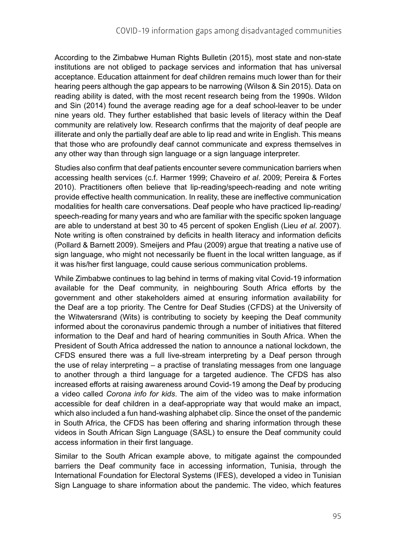According to the Zimbabwe Human Rights Bulletin (2015), most state and non-state institutions are not obliged to package services and information that has universal acceptance. Education attainment for deaf children remains much lower than for their hearing peers although the gap appears to be narrowing (Wilson & Sin 2015). Data on reading ability is dated, with the most recent research being from the 1990s. Wildon and Sin (2014) found the average reading age for a deaf school-leaver to be under nine years old. They further established that basic levels of literacy within the Deaf community are relatively low. Research confirms that the majority of deaf people are illiterate and only the partially deaf are able to lip read and write in English. This means that those who are profoundly deaf cannot communicate and express themselves in any other way than through sign language or a sign language interpreter.

Studies also confirm that deaf patients encounter severe communication barriers when accessing health services (c.f. Harmer 1999; Chaveiro *et al*. 2009; Pereira & Fortes 2010). Practitioners often believe that lip-reading/speech-reading and note writing provide effective health communication. In reality, these are ineffective communication modalities for health care conversations. Deaf people who have practiced lip-reading/ speech-reading for many years and who are familiar with the specific spoken language are able to understand at best 30 to 45 percent of spoken English (Lieu *et al*. 2007). Note writing is often constrained by deficits in health literacy and information deficits (Pollard & Barnett 2009). Smeijers and Pfau (2009) argue that treating a native use of sign language, who might not necessarily be fluent in the local written language, as if it was his/her first language, could cause serious communication problems.

While Zimbabwe continues to lag behind in terms of making vital Covid-19 information available for the Deaf community, in neighbouring South Africa efforts by the government and other stakeholders aimed at ensuring information availability for the Deaf are a top priority. The Centre for Deaf Studies (CFDS) at the University of the Witwatersrand (Wits) is contributing to society by keeping the Deaf community informed about the coronavirus pandemic through a number of initiatives that filtered information to the Deaf and hard of hearing communities in South Africa. When the President of South Africa addressed the nation to announce a national lockdown, the CFDS ensured there was a full live-stream interpreting by a Deaf person through the use of relay interpreting – a practise of translating messages from one language to another through a third language for a targeted audience. The CFDS has also increased efforts at raising awareness around Covid-19 among the Deaf by producing a video called *Corona info for kids*. The aim of the video was to make information accessible for deaf children in a deaf-appropriate way that would make an impact, which also included a fun hand-washing alphabet clip. Since the onset of the pandemic in South Africa, the CFDS has been offering and sharing information through these videos in South African Sign Language (SASL) to ensure the Deaf community could access information in their first language.

Similar to the South African example above, to mitigate against the compounded barriers the Deaf community face in accessing information, Tunisia, through the International Foundation for Electoral Systems (IFES), developed a video in Tunisian Sign Language to share information about the pandemic. The video, which features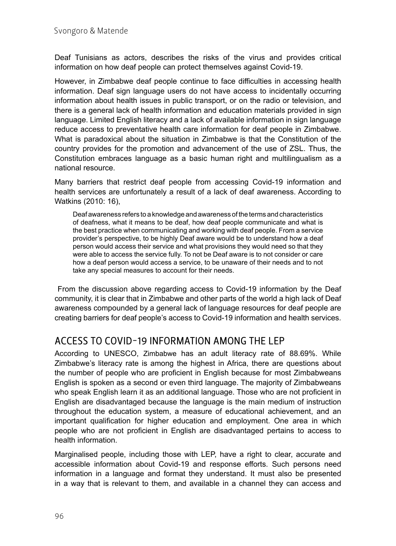Deaf Tunisians as actors, describes the risks of the virus and provides critical information on how deaf people can protect themselves against Covid-19.

However, in Zimbabwe deaf people continue to face difficulties in accessing health information. Deaf sign language users do not have access to incidentally occurring information about health issues in public transport, or on the radio or television, and there is a general lack of health information and education materials provided in sign language. Limited English literacy and a lack of available information in sign language reduce access to preventative health care information for deaf people in Zimbabwe. What is paradoxical about the situation in Zimbabwe is that the Constitution of the country provides for the promotion and advancement of the use of ZSL. Thus, the Constitution embraces language as a basic human right and multilingualism as a national resource.

Many barriers that restrict deaf people from accessing Covid-19 information and health services are unfortunately a result of a lack of deaf awareness. According to Watkins (2010: 16),

Deaf awareness refers to a knowledge and awareness of the terms and characteristics of deafness, what it means to be deaf, how deaf people communicate and what is the best practice when communicating and working with deaf people. From a service provider's perspective, to be highly Deaf aware would be to understand how a deaf person would access their service and what provisions they would need so that they were able to access the service fully. To not be Deaf aware is to not consider or care how a deaf person would access a service, to be unaware of their needs and to not take any special measures to account for their needs.

 From the discussion above regarding access to Covid-19 information by the Deaf community, it is clear that in Zimbabwe and other parts of the world a high lack of Deaf awareness compounded by a general lack of language resources for deaf people are creating barriers for deaf people's access to Covid-19 information and health services.

#### ACCESS TO COVID-19 INFORMATION AMONG THE LEP

According to UNESCO, [Zimbabwe](https://countryeconomy.com/countries/zimbabwe) has an adult literacy rate of 88.69%. While Zimbabwe's literacy rate is among the highest in Africa, there are questions about the number of people who are proficient in English because for most Zimbabweans English is spoken as a second or even third language. The majority of Zimbabweans who speak English learn it as an additional language. Those who are not proficient in English are disadvantaged because the language is the main medium of instruction throughout the education system, a measure of educational achievement, and an important qualification for higher education and employment. One area in which people who are not proficient in English are disadvantaged pertains to access to health information.

Marginalised people, including those with LEP, have a right to clear, accurate and accessible information about Covid-19 and response efforts. Such persons need information in a language and format they understand. It must also be presented in a way that is relevant to them, and available in a channel they can access and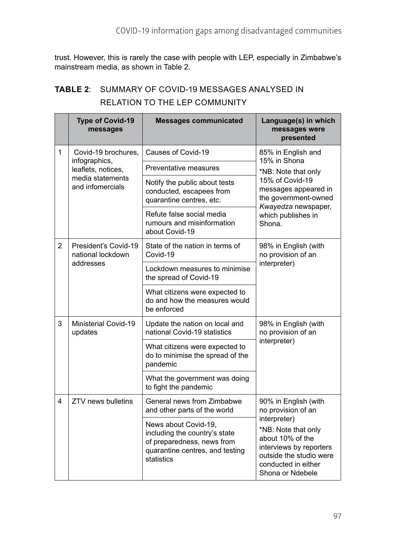trust. However, this is rarely the case with people with LEP, especially in Zimbabwe's mainstream media, as shown in Table 2.

|                | <b>Type of Covid-19</b><br>messages                                                                | <b>Messages communicated</b>                                                                                                         | Language(s) in which<br>messages were<br>presented                                                                                                                                                     |
|----------------|----------------------------------------------------------------------------------------------------|--------------------------------------------------------------------------------------------------------------------------------------|--------------------------------------------------------------------------------------------------------------------------------------------------------------------------------------------------------|
| 1              | Covid-19 brochures,<br>infographics,<br>leaflets, notices,<br>media statements<br>and infomercials | Causes of Covid-19                                                                                                                   | 85% in English and<br>15% in Shona<br>*NB: Note that only<br>15% of Covid-19<br>messages appeared in<br>the government-owned<br>Kwayedza newspaper,<br>which publishes in<br>Shona.                    |
|                |                                                                                                    | Preventative measures                                                                                                                |                                                                                                                                                                                                        |
|                |                                                                                                    | Notify the public about tests<br>conducted, escapees from<br>quarantine centres, etc.                                                |                                                                                                                                                                                                        |
|                |                                                                                                    | Refute false social media<br>rumours and misinformation<br>about Covid-19                                                            |                                                                                                                                                                                                        |
| $\overline{2}$ | President's Covid-19<br>national lockdown<br>addresses                                             | State of the nation in terms of<br>Covid-19                                                                                          | 98% in English (with<br>no provision of an<br>interpreter)                                                                                                                                             |
|                |                                                                                                    | Lockdown measures to minimise<br>the spread of Covid-19                                                                              |                                                                                                                                                                                                        |
|                |                                                                                                    | What citizens were expected to<br>do and how the measures would<br>be enforced                                                       |                                                                                                                                                                                                        |
| 3              | Ministerial Covid-19<br>updates                                                                    | Update the nation on local and<br>national Covid-19 statistics                                                                       | 98% in English (with<br>no provision of an<br>interpreter)                                                                                                                                             |
|                |                                                                                                    | What citizens were expected to<br>do to minimise the spread of the<br>pandemic                                                       |                                                                                                                                                                                                        |
|                |                                                                                                    | What the government was doing<br>to fight the pandemic                                                                               |                                                                                                                                                                                                        |
| 4              | ZTV news bulletins                                                                                 | General news from Zimbabwe<br>and other parts of the world                                                                           | 90% in English (with<br>no provision of an<br>interpreter)<br>*NB: Note that only<br>about 10% of the<br>interviews by reporters<br>outside the studio were<br>conducted in either<br>Shona or Ndebele |
|                |                                                                                                    | News about Covid-19,<br>including the country's state<br>of preparedness, news from<br>quarantine centres, and testing<br>statistics |                                                                                                                                                                                                        |

# **TABLE 2**: SUMMARY OF COVID-19 MESSAGES ANALYSED IN RELATION TO THE LEP COMMUNITY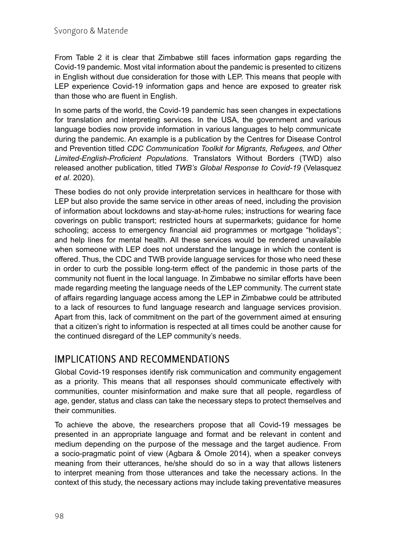From Table 2 it is clear that Zimbabwe still faces information gaps regarding the Covid-19 pandemic. Most vital information about the pandemic is presented to citizens in English without due consideration for those with LEP. This means that people with LEP experience Covid-19 information gaps and hence are exposed to greater risk than those who are fluent in English.

In some parts of the world, the Covid-19 pandemic has seen changes in expectations for translation and interpreting services. In the USA, the government and various language bodies now provide information in various languages to help communicate during the pandemic. An example is a publication by the Centres for Disease Control and Prevention titled *[CDC Communication Toolkit for Migrants, Refugees, and Other](https://www.cdc.gov/coronavirus/2019-ncov/need-extra-precautions/communication-toolkit.html) [Limited-English-Proficient Populations](https://www.cdc.gov/coronavirus/2019-ncov/need-extra-precautions/communication-toolkit.html)*. Translators Without Borders (TWD) also released another publication, titled *[TWB's Global Response to Covid-19](https://translatorswithoutborders.org/covid-19)* (Velasquez *et al*. 2020).

These bodies do not only provide interpretation services in healthcare for those with LEP but also provide the same service in other areas of need, including the provision of information about lockdowns and stay-at-home rules; instructions for wearing face coverings on public transport; restricted hours at supermarkets; guidance for home schooling; access to emergency financial aid programmes or mortgage "holidays"; and help lines for mental health. All these services would be rendered unavailable when someone with LEP does not understand the language in which the content is offered. Thus, the CDC and TWB provide language services for those who need these in order to curb the possible long-term effect of the pandemic in those parts of the community not fluent in the local language. In Zimbabwe no similar efforts have been made regarding meeting the language needs of the LEP community. The current state of affairs regarding language access among the LEP in Zimbabwe could be attributed to a lack of resources to fund language research and language services provision. Apart from this, lack of commitment on the part of the government aimed at ensuring that a citizen's right to information is respected at all times could be another cause for the continued disregard of the LEP community's needs.

#### IMPLICATIONS AND RECOMMENDATIONS

Global Covid-19 responses identify risk communication and community engagement as a priority. This means that all responses should communicate effectively with communities, counter misinformation and make sure that all people, regardless of age, gender, status and class can take the necessary steps to protect themselves and their communities.

To achieve the above, the researchers propose that all Covid-19 messages be presented in an appropriate language and format and be relevant in content and medium depending on the purpose of the message and the target audience. From a socio-pragmatic point of view (Agbara & Omole 2014), when a speaker conveys meaning from their utterances, he/she should do so in a way that allows listeners to interpret meaning from those utterances and take the necessary actions. In the context of this study, the necessary actions may include taking preventative measures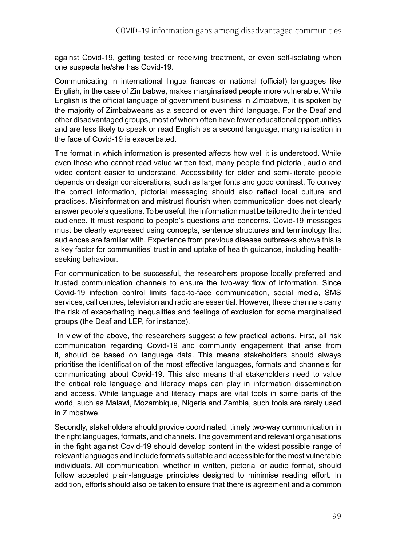against Covid-19, getting tested or receiving treatment, or even self-isolating when one suspects he/she has Covid-19.

Communicating in international lingua francas or national (official) languages like English, in the case of Zimbabwe, makes marginalised people more vulnerable. While English is the official language of government business in Zimbabwe, it is spoken by the majority of Zimbabweans as a second or even third language. For the Deaf and other disadvantaged groups, most of whom often have fewer educational opportunities and are less likely to speak or read English as a second language, marginalisation in the face of Covid-19 is exacerbated.

The format in which information is presented affects how well it is understood. While even those who cannot read value written text, many people find pictorial, audio and video content easier to understand. Accessibility for older and semi-literate people depends on design considerations, such as larger fonts and good contrast. To convey the correct information, pictorial messaging should also reflect local culture and practices. Misinformation and mistrust flourish when communication does not clearly answer people's questions. To be useful, the information must be tailored to the intended audience. It must respond to people's questions and concerns. Covid-19 messages must be clearly expressed using concepts, sentence structures and terminology that audiences are familiar with. Experience from previous disease outbreaks shows this is a key factor for communities' trust in and uptake of health guidance, including healthseeking behaviour.

For communication to be successful, the researchers propose locally preferred and trusted communication channels to ensure the two-way flow of information. Since Covid-19 infection control limits face-to-face communication, social media, SMS services, call centres, television and radio are essential. However, these channels carry the risk of exacerbating inequalities and feelings of exclusion for some marginalised groups (the Deaf and LEP, for instance).

 In view of the above, the researchers suggest a few practical actions. First, all risk communication regarding Covid-19 and community engagement that arise from it, should be based on language data. This means stakeholders should always prioritise the identification of the most effective languages, formats and channels for communicating about Covid-19. This also means that stakeholders need to value the critical role language and literacy maps can play in information dissemination and access. While language and literacy maps are vital tools in some parts of the world, such as Malawi, Mozambique, Nigeria and Zambia, such tools are rarely used in Zimbabwe.

Secondly, stakeholders should provide coordinated, timely two-way communication in the right languages, formats, and channels. The government and relevant organisations in the fight against Covid-19 should develop content in the widest possible range of relevant languages and include formats suitable and accessible for the most vulnerable individuals. All communication, whether in written, pictorial or audio format, should follow accepted plain-language principles designed to minimise reading effort. In addition, efforts should also be taken to ensure that there is agreement and a common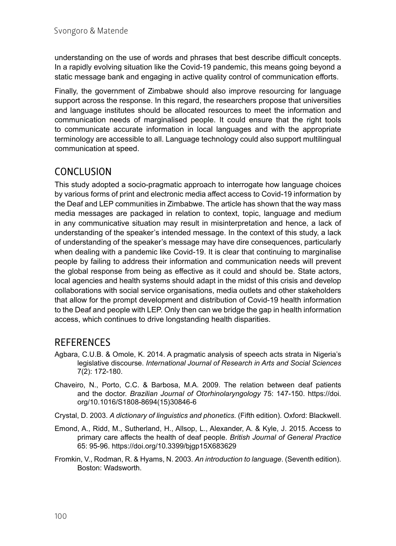understanding on the use of words and phrases that best describe difficult concepts. In a rapidly evolving situation like the Covid-19 pandemic, this means going beyond a static message bank and engaging in active quality control of communication efforts.

Finally, the government of Zimbabwe should also improve resourcing for language support across the response. In this regard, the researchers propose that universities and language institutes should be allocated resources to meet the information and communication needs of marginalised people. It could ensure that the right tools to communicate accurate information in local languages and with the appropriate terminology are accessible to all. Language technology could also support multilingual communication at speed.

#### **CONCLUSION**

This study adopted a socio-pragmatic approach to interrogate how language choices by various forms of print and electronic media affect access to Covid-19 information by the Deaf and LEP communities in Zimbabwe. The article has shown that the way mass media messages are packaged in relation to context, topic, language and medium in any communicative situation may result in misinterpretation and hence, a lack of understanding of the speaker's intended message. In the context of this study, a lack of understanding of the speaker's message may have dire consequences, particularly when dealing with a pandemic like Covid-19. It is clear that continuing to marginalise people by failing to address their information and communication needs will prevent the global response from being as effective as it could and should be. State actors, local agencies and health systems should adapt in the midst of this crisis and develop collaborations with social service organisations, media outlets and other stakeholders that allow for the prompt development and distribution of Covid-19 health information to the Deaf and people with LEP. Only then can we bridge the gap in health information access, which continues to drive longstanding health disparities.

#### **REFERENCES**

- Agbara, C.U.B. & Omole, K. 2014. A pragmatic analysis of speech acts strata in Nigeria's legislative discourse. *International Journal of Research in Arts and Social Sciences*  7(2): 172-180.
- Chaveiro, N., Porto, C.C. & Barbosa, M.A. 2009. The relation between deaf patients and the doctor. *Brazilian Journal of Otorhinolaryngology* 75: 147-150. [https://doi.](https://doi.org/10.1016/S1808-8694(15)30846-6) [org/10.1016/S1808-8694\(15\)30846-6](https://doi.org/10.1016/S1808-8694(15)30846-6)
- Crystal, D. 2003. *A dictionary of linguistics and phonetics.* (Fifth edition). Oxford: Blackwell.
- Emond, A., Ridd, M., Sutherland, H., Allsop, L., Alexander, A. & Kyle, J. 2015. Access to primary care affects the health of deaf people. *British Journal of General Practice* 65: 95-96.<https://doi.org/10.3399/bjgp15X683629>
- Fromkin, V., Rodman, R. & Hyams, N. 2003. *An introduction to language*. (Seventh edition). Boston: Wadsworth.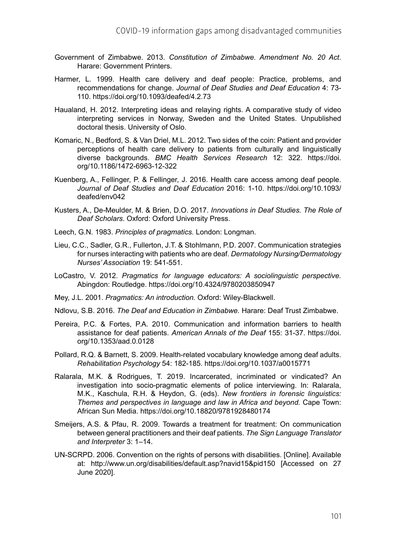- Government of Zimbabwe. 2013. *Constitution of Zimbabwe. Amendment No. 20 Act*. Harare: Government Printers.
- Harmer, L. 1999. Health care delivery and deaf people: Practice, problems, and recommendations for change. *Journal of Deaf Studies and Deaf Education* 4: 73- 110. <https://doi.org/10.1093/deafed/4.2.73>
- Haualand, H. 2012. Interpreting ideas and relaying rights. A comparative study of video interpreting services in Norway, Sweden and the United States. Unpublished doctoral thesis. University of Oslo.
- Komaric, N., Bedford, S. & Van Driel, M.L. 2012. Two sides of the coin: Patient and provider perceptions of health care delivery to patients from culturally and linguistically diverse backgrounds. *BMC Health Services Research* 12: 322. [https://doi.](https://doi.org/10.1186/1472-6963-12-322) [org/10.1186/1472-6963-12-322](https://doi.org/10.1186/1472-6963-12-322)
- Kuenberg, A., Fellinger, P. & Fellinger, J. 2016. Health care access among deaf people. *Journal of Deaf Studies and Deaf Education* 2016: 1-10. [https://doi.org/10.1093/](https://doi.org/10.1093/deafed/env042) [deafed/env042](https://doi.org/10.1093/deafed/env042)
- Kusters, A., De-Meulder, M. & Brien, D.O. 2017. *Innovations in Deaf Studies. The Role of Deaf Scholars*. Oxford: Oxford University Press.
- Leech, G.N. 1983. *Principles of pragmatics.* London: Longman.
- Lieu, C.C., Sadler, G.R., Fullerton, J.T. & Stohlmann, P.D. 2007. Communication strategies for nurses interacting with patients who are deaf. *Dermatology Nursing/Dermatology Nurses' Association* 19: 541-551.
- LoCastro, V. 2012. *Pragmatics for language educators: A sociolinguistic perspective.* Abingdon: Routledge.<https://doi.org/10.4324/9780203850947>
- Mey, J.L. 2001. *Pragmatics: An introduction.* Oxford: Wiley-Blackwell.
- Ndlovu, S.B. 2016. *The Deaf and Education in Zimbabwe.* Harare: Deaf Trust Zimbabwe.
- Pereira, P.C. & Fortes, P.A. 2010. Communication and information barriers to health assistance for deaf patients. *American Annals of the Deaf* 155: 31-37. [https://doi.](https://doi.org/10.1353/aad.0.0128) [org/10.1353/aad.0.0128](https://doi.org/10.1353/aad.0.0128)
- Pollard, R.Q. & Barnett, S. 2009. Health-related vocabulary knowledge among deaf adults. *Rehabilitation Psychology* 54: 182-185. <https://doi.org/10.1037/a0015771>
- Ralarala, M.K. & Rodrigues, T. 2019. Incarcerated, incriminated or vindicated? An investigation into socio-pragmatic elements of police interviewing. In: Ralarala, M.K., Kaschula, R.H. & Heydon, G. (eds). *New frontiers in forensic linguistics: Themes and perspectives in language and law in Africa and beyond.* Cape Town: African Sun Media. <https://doi.org/10.18820/9781928480174>
- Smeijers, A.S. & Pfau, R. 2009. Towards a treatment for treatment: On communication between general practitioners and their deaf patients. *The Sign Language Translator and Interpreter* 3: 1–14.
- UN-SCRPD. 2006. Convention on the rights of persons with disabilities. [Online]. Available at: [http://www.un.org/disabilities/default.asp?navid15&pid150](mailto:http://www.un.org/disabilities/default.asp%3Fnavid15%26pid150?subject=) [Accessed on 27 June 2020].